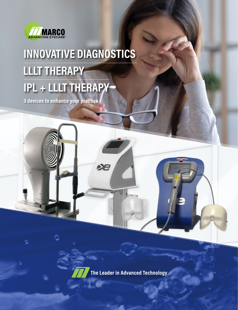

# **INNOVATIVE DIAGNOSTICS LLLT THERAPY IPL + LLLT THERAPY**

**3 devices to enhance your practice**

**INTINIANA ANTIONAL** 

æ

**The Leader in Advanced Technology**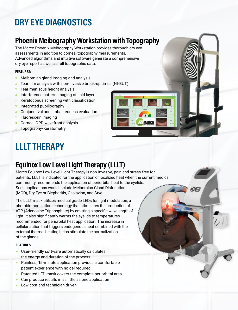# **DRY EYE DIAGNOSTICS**

# **Phoenix Meibography Workstation with Topography**

The Marco Phoenix Meibography Workstation provides thorough dry eye assessments in addition to corneal topography measurements. Advanced algorithms and intuitive software generate a comprehensive dry eye report as well as full topographic data.

#### **FEATURES:**

- » Meibomian gland imaging and analysis
- » Tear film analysis with non-invasive break-up times (NI-BUT)
- » Tear meniscus height analysis
- » Interference pattern imaging of lipid layer
- » Keratoconus screening with classification
- » Integrated pupillography
- » Conjunctival and limbal redness evaluation
- » Fluorescein imaging
- » Corneal OPD wavefront analysis
- » Topography/Keratometry

# **LLLT THERAPY**

# **Equinox Low Level Light Therapy (LLLT)**

Marco Equinox Low Level Light Therapy is non-invasive, pain and stress-free for patients. LLLT is indicated for the application of localized heat when the current medical community recommends the application of periorbital heat to the eyelids. Such applications would include Meibomian Gland Disfunction (MGD), Dry Eye or Blepharitis, Chalazion, and Stye.

The LLLT mask utilizes medical grade LEDs for light modulation, a photobiomodulation technology that stimulates the production of ATP (Adenosine Triphosphate) by emitting a specific wavelength of light. It also significantly warms the eyelids to temperatures recommended for periorbital heat application. The increase in cellular action that triggers endogenous heat combined with the external thermal heating helps stimulate the normalization of the glands.

#### **FEATURES:**

- » User-friendly software automatically calculates the energy and duration of the process
- » Painless, 15-minute application provides a comfortable patient experience with no gel required
- » Patented LED mask covers the complete periorbital area
- » Can produce results in as little as one application
- Low cost and technician driven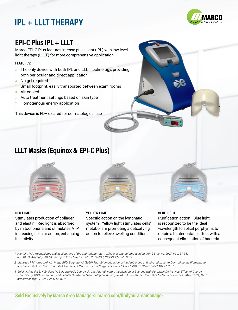# **IPL + LLLT THERAPY**



# **EPI-C Plus IPL + LLLT**

Marco EPI-C Plus features intense pulse light (IPL) with low level light therapy (LLLT) for more comprehensive application.

#### **FEATURES:**

- » The only device with both IPL and LLLT technology, providing both periocular and direct application
- » No gel required
- » Small footprint, easily transported between exam rooms
- » Air-cooled
- » Auto treatment settings based on skin type
- » Homogenous energy application

This device is FDA cleared for dermatological use

### **LLLT Masks (Equinox & EPI-C Plus)**



#### **RED LIGHT**

Stimulates production of collagen and elastin—Red light is absorbed by mitochondria and stimulates ATP increasing cellular action, enhancing its activity.

#### **YELLOW LIGHT**

Specific action on the lymphatic system—Yellow light stimulates cells' metabolism promoting a detoxifying action to relieve swelling conditions.

#### **BLUE LIGHT**

Purification action—Blue light is recognized to be the ideal wavelength to solicit porphyrins to obtain a bacteriostatic effect with a consequent elimination of bacteria.

*<sup>1.</sup> Hamblin MR. Mechanisms and applications of the anti-inflammatory effects of photobiomodulation. AIMS Biophys. 2017;4(3):337-362. doi: 10.3934/biophy.2017.3.337. Epub 2017 May 19. PMID:28748217; PMCID; PMC5523874*

*<sup>2.</sup> Menezes PFC, Urbaczek AC, Matta RFD, Bagnato VS (2020) Photobiomodulation Using Amber Led and Infrared Laser to Controlling the Pigmentation and Flaccidity from Skin. Journal of Aesthetic & Reconstructive Surgery. Volume 6 No.2:8 DOI: 10.36648/2472-1095.6.2.57*

*<sup>3.</sup> Sulek A, Pucelik B, Kobielusz M, Barzowska A, Dabrowski JM. Photodynamic Inactivation of Bacteria with Porphyrin Derivatives: Effect of Charge, Lipophilicity, ROS Generation, and Cellular Uptake on Their Biological Activity in Vitro. International Journal of Molecular Sciences. 2020; 21(22):8716. https://doi.org/10.3390/ijms21228716*